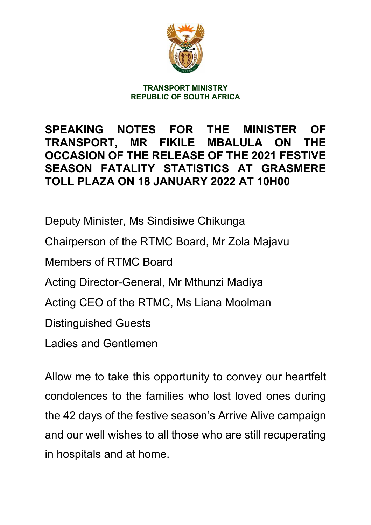

**TRANSPORT MINISTRY REPUBLIC OF SOUTH AFRICA**

## **SPEAKING NOTES FOR THE MINISTER OF TRANSPORT, MR FIKILE MBALULA ON THE OCCASION OF THE RELEASE OF THE 2021 FESTIVE SEASON FATALITY STATISTICS AT GRASMERE TOLL PLAZA ON 18 JANUARY 2022 AT 10H00**

Deputy Minister, Ms Sindisiwe Chikunga Chairperson of the RTMC Board, Mr Zola Majavu Members of RTMC Board Acting Director-General, Mr Mthunzi Madiya Acting CEO of the RTMC, Ms Liana Moolman Distinguished Guests Ladies and Gentlemen

Allow me to take this opportunity to convey our heartfelt condolences to the families who lost loved ones during the 42 days of the festive season's Arrive Alive campaign and our well wishes to all those who are still recuperating in hospitals and at home.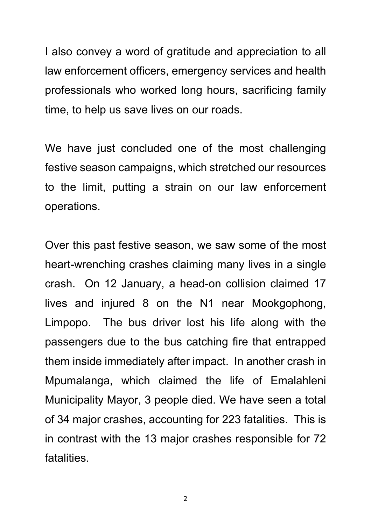I also convey a word of gratitude and appreciation to all law enforcement officers, emergency services and health professionals who worked long hours, sacrificing family time, to help us save lives on our roads.

We have just concluded one of the most challenging festive season campaigns, which stretched our resources to the limit, putting a strain on our law enforcement operations.

Over this past festive season, we saw some of the most heart-wrenching crashes claiming many lives in a single crash. On 12 January, a head-on collision claimed 17 lives and injured 8 on the N1 near Mookgophong, Limpopo. The bus driver lost his life along with the passengers due to the bus catching fire that entrapped them inside immediately after impact. In another crash in Mpumalanga, which claimed the life of Emalahleni Municipality Mayor, 3 people died. We have seen a total of 34 major crashes, accounting for 223 fatalities. This is in contrast with the 13 major crashes responsible for 72 fatalities.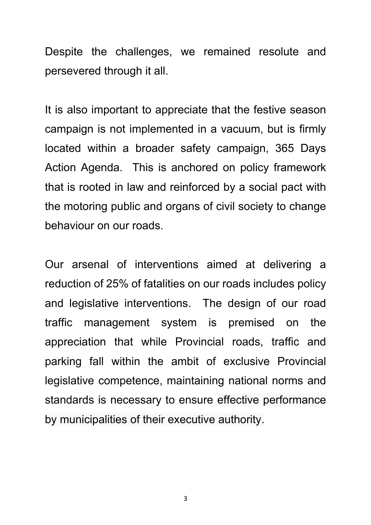Despite the challenges, we remained resolute and persevered through it all.

It is also important to appreciate that the festive season campaign is not implemented in a vacuum, but is firmly located within a broader safety campaign, 365 Days Action Agenda. This is anchored on policy framework that is rooted in law and reinforced by a social pact with the motoring public and organs of civil society to change behaviour on our roads.

Our arsenal of interventions aimed at delivering a reduction of 25% of fatalities on our roads includes policy and legislative interventions. The design of our road traffic management system is premised on the appreciation that while Provincial roads, traffic and parking fall within the ambit of exclusive Provincial legislative competence, maintaining national norms and standards is necessary to ensure effective performance by municipalities of their executive authority.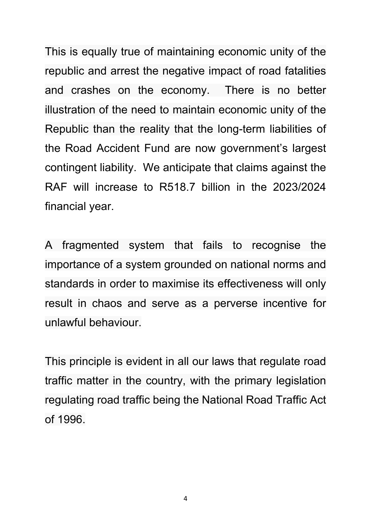This is equally true of maintaining economic unity of the republic and arrest the negative impact of road fatalities and crashes on the economy. There is no better illustration of the need to maintain economic unity of the Republic than the reality that the long-term liabilities of the Road Accident Fund are now government's largest contingent liability. We anticipate that claims against the RAF will increase to R518.7 billion in the 2023/2024 financial year.

A fragmented system that fails to recognise the importance of a system grounded on national norms and standards in order to maximise its effectiveness will only result in chaos and serve as a perverse incentive for unlawful behaviour.

This principle is evident in all our laws that regulate road traffic matter in the country, with the primary legislation regulating road traffic being the National Road Traffic Act of 1996.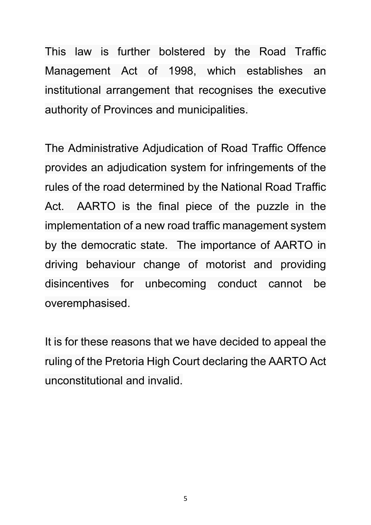This law is further bolstered by the Road Traffic Management Act of 1998, which establishes an institutional arrangement that recognises the executive authority of Provinces and municipalities.

The Administrative Adjudication of Road Traffic Offence provides an adjudication system for infringements of the rules of the road determined by the National Road Traffic Act. AARTO is the final piece of the puzzle in the implementation of a new road traffic management system by the democratic state. The importance of AARTO in driving behaviour change of motorist and providing disincentives for unbecoming conduct cannot be overemphasised.

It is for these reasons that we have decided to appeal the ruling of the Pretoria High Court declaring the AARTO Act unconstitutional and invalid.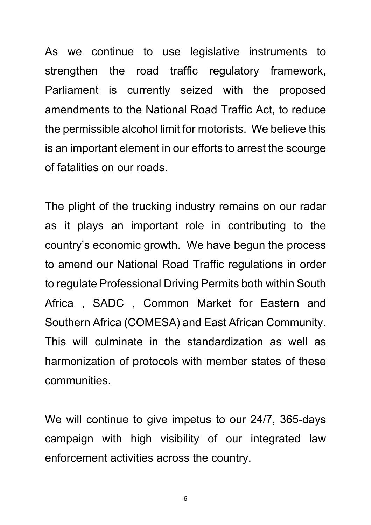As we continue to use legislative instruments to strengthen the road traffic regulatory framework, Parliament is currently seized with the proposed amendments to the National Road Traffic Act, to reduce the permissible alcohol limit for motorists. We believe this is an important element in our efforts to arrest the scourge of fatalities on our roads.

The plight of the trucking industry remains on our radar as it plays an important role in contributing to the country's economic growth. We have begun the process to amend our National Road Traffic regulations in order to regulate Professional Driving Permits both within South Africa , SADC , Common Market for Eastern and Southern Africa (COMESA) and East African Community. This will culminate in the standardization as well as harmonization of protocols with member states of these communities.

We will continue to give impetus to our 24/7, 365-days campaign with high visibility of our integrated law enforcement activities across the country.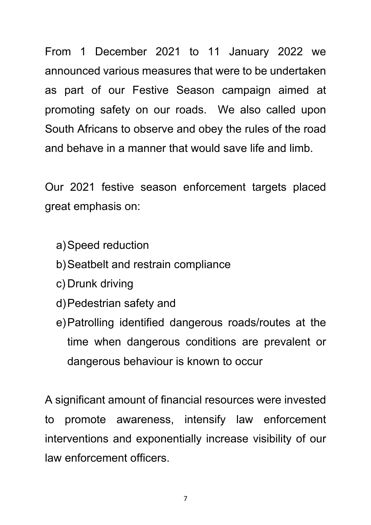From 1 December 2021 to 11 January 2022 we announced various measures that were to be undertaken as part of our Festive Season campaign aimed at promoting safety on our roads. We also called upon South Africans to observe and obey the rules of the road and behave in a manner that would save life and limb.

Our 2021 festive season enforcement targets placed great emphasis on:

- a)Speed reduction
- b)Seatbelt and restrain compliance
- c) Drunk driving
- d)Pedestrian safety and
- e)Patrolling identified dangerous roads/routes at the time when dangerous conditions are prevalent or dangerous behaviour is known to occur

A significant amount of financial resources were invested to promote awareness, intensify law enforcement interventions and exponentially increase visibility of our law enforcement officers.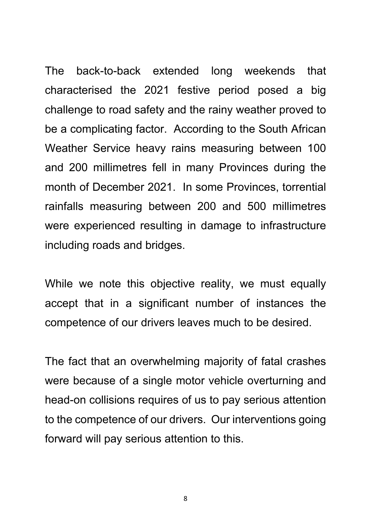The back-to-back extended long weekends that characterised the 2021 festive period posed a big challenge to road safety and the rainy weather proved to be a complicating factor. According to the South African Weather Service heavy rains measuring between 100 and 200 millimetres fell in many Provinces during the month of December 2021. In some Provinces, torrential rainfalls measuring between 200 and 500 millimetres were experienced resulting in damage to infrastructure including roads and bridges.

While we note this objective reality, we must equally accept that in a significant number of instances the competence of our drivers leaves much to be desired.

The fact that an overwhelming majority of fatal crashes were because of a single motor vehicle overturning and head-on collisions requires of us to pay serious attention to the competence of our drivers. Our interventions going forward will pay serious attention to this.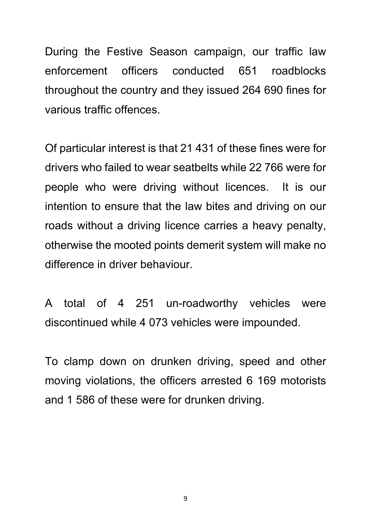During the Festive Season campaign, our traffic law enforcement officers conducted 651 roadblocks throughout the country and they issued 264 690 fines for various traffic offences.

Of particular interest is that 21 431 of these fines were for drivers who failed to wear seatbelts while 22 766 were for people who were driving without licences. It is our intention to ensure that the law bites and driving on our roads without a driving licence carries a heavy penalty, otherwise the mooted points demerit system will make no difference in driver behaviour.

A total of 4 251 un-roadworthy vehicles were discontinued while 4 073 vehicles were impounded.

To clamp down on drunken driving, speed and other moving violations, the officers arrested 6 169 motorists and 1 586 of these were for drunken driving.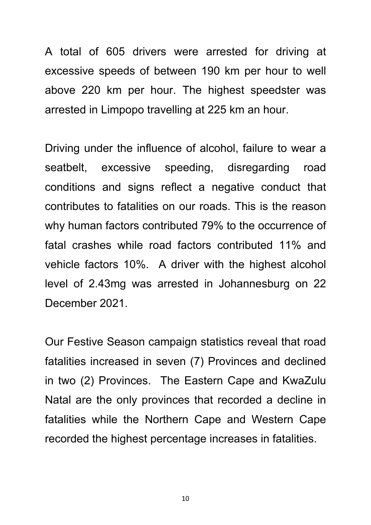A total of 605 drivers were arrested for driving at excessive speeds of between 190 km per hour to well above 220 km per hour. The highest speedster was arrested in Limpopo travelling at 225 km an hour.

Driving under the influence of alcohol, failure to wear a seatbelt, excessive speeding, disregarding road conditions and signs reflect a negative conduct that contributes to fatalities on our roads. This is the reason why human factors contributed 79% to the occurrence of fatal crashes while road factors contributed 11% and vehicle factors 10%. A driver with the highest alcohol level of 2.43mg was arrested in Johannesburg on 22 December 2021.

Our Festive Season campaign statistics reveal that road fatalities increased in seven (7) Provinces and declined in two (2) Provinces. The Eastern Cape and KwaZulu Natal are the only provinces that recorded a decline in fatalities while the Northern Cape and Western Cape recorded the highest percentage increases in fatalities.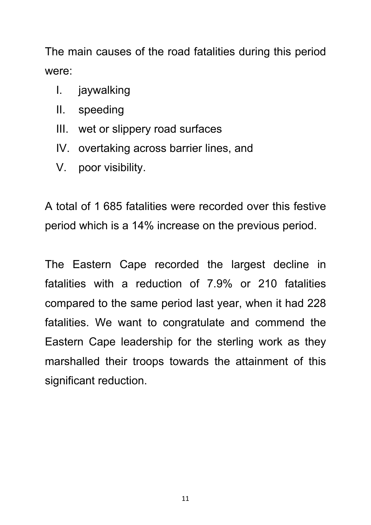The main causes of the road fatalities during this period were:

- I. jaywalking
- II. speeding
- III. wet or slippery road surfaces
- IV. overtaking across barrier lines, and
- V. poor visibility.

A total of 1 685 fatalities were recorded over this festive period which is a 14% increase on the previous period.

The Eastern Cape recorded the largest decline in fatalities with a reduction of 7.9% or 210 fatalities compared to the same period last year, when it had 228 fatalities. We want to congratulate and commend the Eastern Cape leadership for the sterling work as they marshalled their troops towards the attainment of this significant reduction.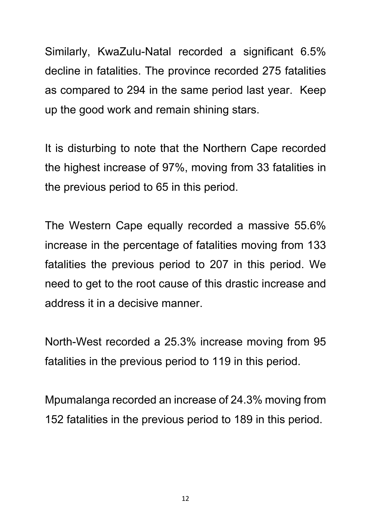Similarly, KwaZulu-Natal recorded a significant 6.5% decline in fatalities. The province recorded 275 fatalities as compared to 294 in the same period last year. Keep up the good work and remain shining stars.

It is disturbing to note that the Northern Cape recorded the highest increase of 97%, moving from 33 fatalities in the previous period to 65 in this period.

The Western Cape equally recorded a massive 55.6% increase in the percentage of fatalities moving from 133 fatalities the previous period to 207 in this period. We need to get to the root cause of this drastic increase and address it in a decisive manner.

North-West recorded a 25.3% increase moving from 95 fatalities in the previous period to 119 in this period.

Mpumalanga recorded an increase of 24.3% moving from 152 fatalities in the previous period to 189 in this period.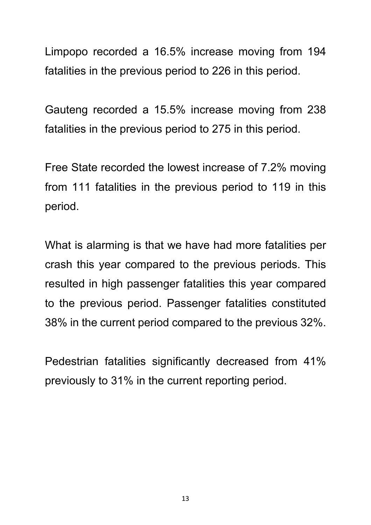Limpopo recorded a 16.5% increase moving from 194 fatalities in the previous period to 226 in this period.

Gauteng recorded a 15.5% increase moving from 238 fatalities in the previous period to 275 in this period.

Free State recorded the lowest increase of 7.2% moving from 111 fatalities in the previous period to 119 in this period.

What is alarming is that we have had more fatalities per crash this year compared to the previous periods. This resulted in high passenger fatalities this year compared to the previous period. Passenger fatalities constituted 38% in the current period compared to the previous 32%.

Pedestrian fatalities significantly decreased from 41% previously to 31% in the current reporting period.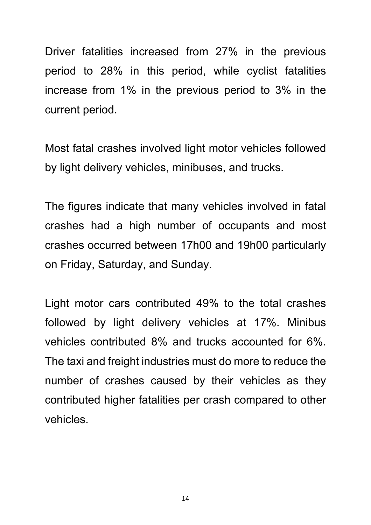Driver fatalities increased from 27% in the previous period to 28% in this period, while cyclist fatalities increase from 1% in the previous period to 3% in the current period.

Most fatal crashes involved light motor vehicles followed by light delivery vehicles, minibuses, and trucks.

The figures indicate that many vehicles involved in fatal crashes had a high number of occupants and most crashes occurred between 17h00 and 19h00 particularly on Friday, Saturday, and Sunday.

Light motor cars contributed 49% to the total crashes followed by light delivery vehicles at 17%. Minibus vehicles contributed 8% and trucks accounted for 6%. The taxi and freight industries must do more to reduce the number of crashes caused by their vehicles as they contributed higher fatalities per crash compared to other vehicles.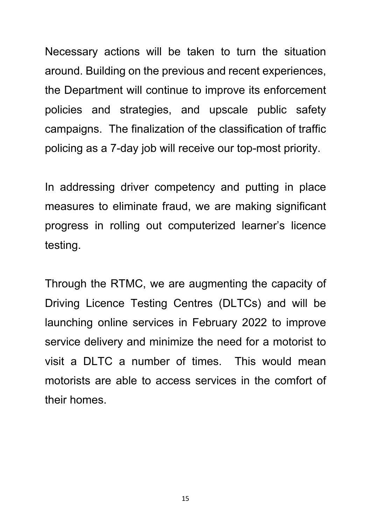Necessary actions will be taken to turn the situation around. Building on the previous and recent experiences, the Department will continue to improve its enforcement policies and strategies, and upscale public safety campaigns. The finalization of the classification of traffic policing as a 7-day job will receive our top-most priority.

In addressing driver competency and putting in place measures to eliminate fraud, we are making significant progress in rolling out computerized learner's licence testing.

Through the RTMC, we are augmenting the capacity of Driving Licence Testing Centres (DLTCs) and will be launching online services in February 2022 to improve service delivery and minimize the need for a motorist to visit a DLTC a number of times. This would mean motorists are able to access services in the comfort of their homes.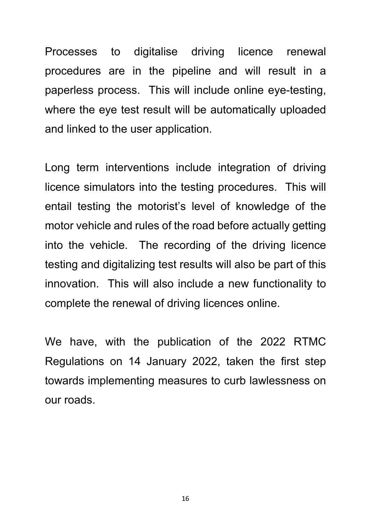Processes to digitalise driving licence renewal procedures are in the pipeline and will result in a paperless process. This will include online eye-testing, where the eye test result will be automatically uploaded and linked to the user application.

Long term interventions include integration of driving licence simulators into the testing procedures. This will entail testing the motorist's level of knowledge of the motor vehicle and rules of the road before actually getting into the vehicle. The recording of the driving licence testing and digitalizing test results will also be part of this innovation. This will also include a new functionality to complete the renewal of driving licences online.

We have, with the publication of the 2022 RTMC Regulations on 14 January 2022, taken the first step towards implementing measures to curb lawlessness on our roads.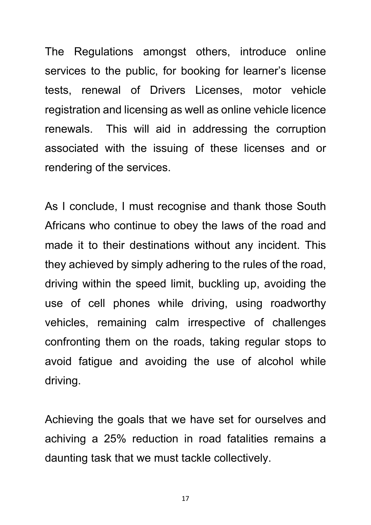The Regulations amongst others, introduce online services to the public, for booking for learner's license tests, renewal of Drivers Licenses, motor vehicle registration and licensing as well as online vehicle licence renewals. This will aid in addressing the corruption associated with the issuing of these licenses and or rendering of the services.

As I conclude, I must recognise and thank those South Africans who continue to obey the laws of the road and made it to their destinations without any incident. This they achieved by simply adhering to the rules of the road, driving within the speed limit, buckling up, avoiding the use of cell phones while driving, using roadworthy vehicles, remaining calm irrespective of challenges confronting them on the roads, taking regular stops to avoid fatigue and avoiding the use of alcohol while driving.

Achieving the goals that we have set for ourselves and achiving a 25% reduction in road fatalities remains a daunting task that we must tackle collectively.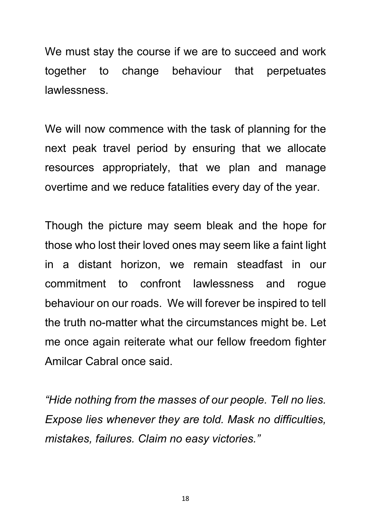We must stay the course if we are to succeed and work together to change behaviour that perpetuates lawlessness.

We will now commence with the task of planning for the next peak travel period by ensuring that we allocate resources appropriately, that we plan and manage overtime and we reduce fatalities every day of the year.

Though the picture may seem bleak and the hope for those who lost their loved ones may seem like a faint light in a distant horizon, we remain steadfast in our commitment to confront lawlessness and rogue behaviour on our roads. We will forever be inspired to tell the truth no-matter what the circumstances might be. Let me once again reiterate what our fellow freedom fighter Amilcar Cabral once said.

*"Hide nothing from the masses of our people. Tell no lies. Expose lies whenever they are told. Mask no difficulties, mistakes, failures. Claim no easy victories."*